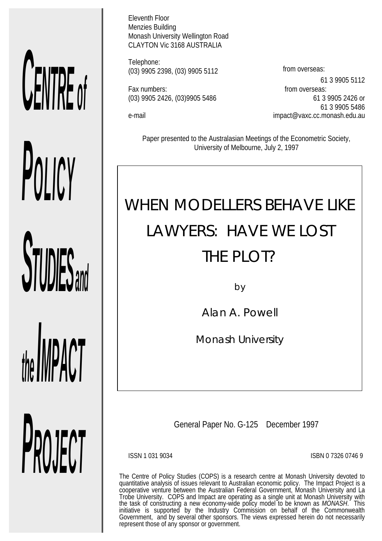# *CENTRE of*

**STUDIES** 

*POLICY*

*the livil time* i

*PROJECT*

Eleventh Floor Menzies Building Monash University Wellington Road CLAYTON Vic 3168 AUSTRALIA

Telephone: (03) 9905 2398, (03) 9905 5112 from overseas:

Fax numbers: Fax numbers: From overseas:

61 3 9905 5112 (03) 9905 2426, (03)9905 5486 61 3 9905 2426 or 61 3 9905 5486 e-mail impact@vaxc.cc.monash.edu.au

Paper presented to the Australasian Meetings of the Econometric Society, University of Melbourne, July 2, 1997

# WHEN MODELLERS BEHAVE LIKE LAWYERS: HAVE WE LOST THE PLOT?

by

Alan A. Powell

*Monash University*

General Paper No. G-125 December 1997

ISSN 1 031 9034 ISBN 0 7326 0746 9

The Centre of Policy Studies (COPS) is a research centre at Monash University devoted to quantitative analysis of issues relevant to Australian economic policy. The Impact Project is a cooperative venture between the Australian Federal Government, Monash University and La Trobe University. COPS and Impact are operating as a single unit at Monash University with the task of constructing a new economy-wide policy model to be known as *MONASH*. This initiative is supported by the Industry Commission on behalf of the Commonwealth Government, and by several other sponsors. The views expressed herein do not necessarily represent those of any sponsor or government.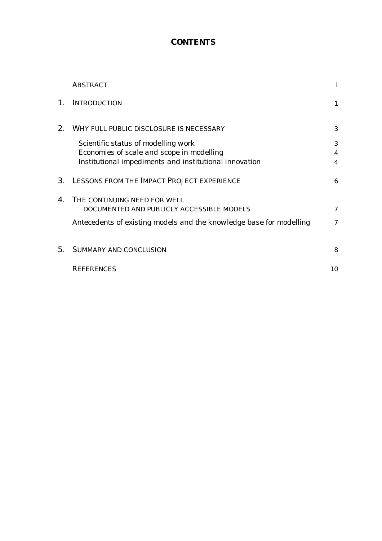# *CONTENTS*

|    | <b>ABSTRACT</b>                                                     | i                |
|----|---------------------------------------------------------------------|------------------|
| 1. | <b>INTRODUCTION</b>                                                 | $\mathbf{1}$     |
| 2. | <b>WHY FULL PUBLIC DISCLOSURE IS NECESSARY</b>                      | 3                |
|    | Scientific status of modelling work                                 | 3                |
|    | Economies of scale and scope in modelling                           | $\boldsymbol{4}$ |
|    | Institutional impediments and institutional innovation              | $\boldsymbol{4}$ |
| 3. | <b>LESSONS FROM THE IMPACT PROJECT EXPERIENCE</b>                   | 6                |
| 4. | THE CONTINUING NEED FOR WELL                                        |                  |
|    | DOCUMENTED AND PUBLICLY ACCESSIBLE MODELS                           | 7                |
|    | Antecedents of existing models and the knowledge base for modelling | 7                |
| 5. | <b>SUMMARY AND CONCLUSION</b>                                       | 8                |
|    | <b>REFERENCES</b>                                                   | 10               |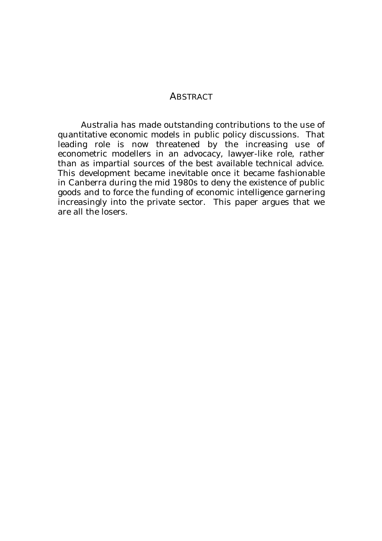## *ABSTRACT*

Australia has made outstanding contributions to the use of quantitative economic models in public policy discussions. That leading role is now threatened by the increasing use of econometric modellers in an advocacy, lawyer-like role, rather than as impartial sources of the best available technical advice. This development became inevitable once it became fashionable in Canberra during the mid 1980s to deny the existence of public goods and to force the funding of economic intelligence garnering increasingly into the private sector. This paper argues that we are all the losers.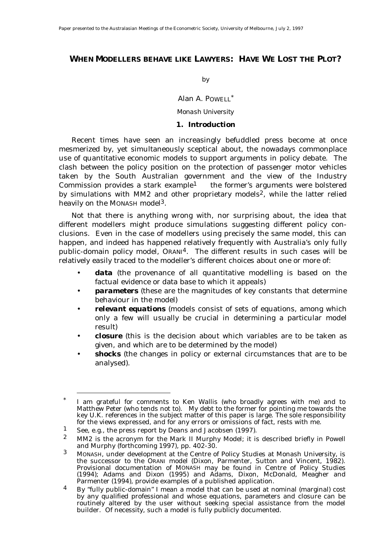### *WHEN MODELLERS BEHAVE LIKE LAWYERS: HAVE WE LOST THE PLOT?*

by

Alan A. POWELL\*

*Monash University*

### *1. Introduction*

Recent times have seen an increasingly befuddled press become at once mesmerized by, yet simultaneously sceptical about, the nowadays commonplace use of quantitative economic models to support arguments in policy debate. The clash between the policy position on the protection of passenger motor vehicles taken by the South Australian government and the view of the Industry Commission provides a stark example<sup>1</sup> — the former's arguments were bolstered by simulations with MM2 and other proprietary models<sup>2</sup>, while the latter relied heavily on the MONASH model3.

Not that there is anything wrong with, nor surprising about, the idea that different modellers might produce simulations suggesting different policy conclusions. Even in the case of modellers using precisely the same model, this can happen, and indeed has happened relatively frequently with Australia's only fully public-domain policy model, ORANI4. The different results in such cases will be relatively easily traced to the modeller's different choices about one or more of:

- *data* (the provenance of all quantitative modelling is based on the factual evidence or data base to which it appeals)
- *parameters* (these are the magnitudes of key constants that determine behaviour in the model)
- *relevant equations* (models consist of sets of equations, among which only a few will usually be crucial in determining a particular model result)
- *closure* (this is the decision about which variables are to be taken as given, and which are to be determined by the model)
- *shocks* (the changes in policy or external circumstances that are to be analysed).

I am grateful for comments to Ken Wallis (who broadly agrees with me) and to Matthew Peter (who tends not to). My debt to the former for pointing me towards the key U.K. references in the subject matter of this paper is large. The sole responsibility for the views expressed, and for any errors or omissions of fact, rests with me.

See, e.g., the press report by Deans and Jacobsen (1997).

<sup>2</sup> MM2 is the acronym for the Mark II Murphy Model; it is described briefly in Powell and Murphy (forthcoming 1997), pp. 402-30.

<sup>3</sup> MONASH, under development at the Centre of Policy Studies at Monash University, is the successor to the ORANI model (Dixon, Parmenter, Sutton and Vincent, 1982). Provisional documentation of MONASH may be found in Centre of Policy Studies (1994); Adams and Dixon (1995) and Adams, Dixon, McDonald, Meagher and Parmenter (1994), provide examples of a published application.

<sup>4</sup> By "fully public-domain" I mean a model that can be used at nominal (marginal) cost by any qualified professional and whose equations, parameters and closure can be routinely altered by the user without seeking special assistance from the model builder. Of necessity, such a model is fully publicly documented.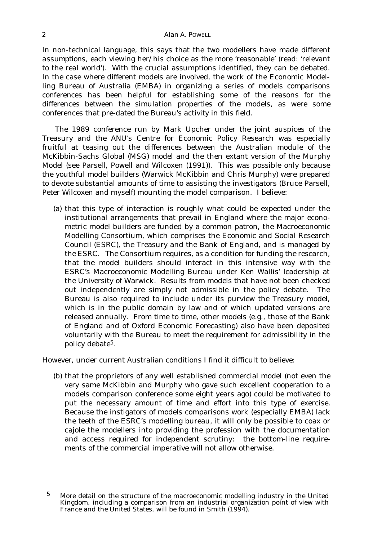In non-technical language, this says that the two modellers have made different *assumptions*, each viewing her/his choice as the more 'reasonable' (read: 'relevant to the real world'). With the crucial assumptions identified, they can be debated. In the case where different models are involved, the work of the Economic Modelling Bureau of Australia (EMBA) in organizing a series of *models comparisons conferences* has been helpful for establishing some of the reasons for the differences between the simulation properties of the models, as were some conferences that pre-dated the Bureau's activity in this field.

The 1989 conference run by Mark Upcher under the joint auspices of the Treasury and the ANU's Centre for Economic Policy Research was especially fruitful at teasing out the differences between the Australian module of the McKibbin-Sachs Global (MSG) model and the then extant version of the Murphy Model (see Parsell, Powell and Wilcoxen (1991)). This was possible only because the youthful model builders (Warwick McKibbin and Chris Murphy) were prepared to devote substantial amounts of time to assisting the investigators (Bruce Parsell, Peter Wilcoxen and myself) mounting the model comparison. I believe:

 (a) that this type of interaction is roughly what could be expected under the institutional arrangements that prevail in England where the major econometric model builders are funded by a common patron, the Macroeconomic Modelling Consortium, which comprises the Economic and Social Research Council (ESRC), the Treasury and the Bank of England, and is managed by the ESRC. The Consortium requires, as a condition for funding the research, that the model builders should interact in this intensive way with the ESRC's Macroeconomic Modelling Bureau under Ken Wallis' leadership at the University of Warwick. Results from models that have not been checked out independently are simply not admissible in the policy debate. The Bureau is also required to include under its purview the Treasury model, which is in the public domain by law and of which updated versions are released annually. From time to time, other models (e.g., those of the Bank of England and of Oxford Economic Forecasting) also have been deposited voluntarily with the Bureau to meet the requirement for admissibility in the policy debate5.

However, under current Australian conditions I find it difficult to believe:

 (b) that the proprietors of any well established commercial model (not even the very same McKibbin and Murphy who gave such excellent cooperation to a models comparison conference some eight years ago) could be motivated to put the necessary amount of time and effort into this type of exercise. Because the instigators of models comparisons work (especially EMBA) lack the teeth of the ESRC's modelling bureau, it will only be possible to coax or cajole the modellers into providing the profession with the documentation and access required for independent scrutiny: the bottom-line requirements of the commercial imperative will not allow otherwise.

THE TREAD MORE detail on the structure of the macroeconomic modelling industry in the United Kingdom, including a comparison from an industrial organization point of view with France and the United States, will be found in Smith (1994).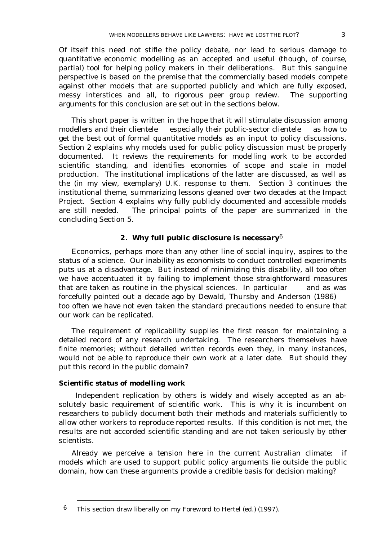Of itself this need not stifle the policy debate, nor lead to serious damage to quantitative economic modelling as an accepted and useful (though, of course, partial) tool for helping policy makers in their deliberations. But this sanguine perspective is based on the premise that the commercially based models compete against other models that are supported publicly and which are fully exposed, messy interstices and all, to rigorous peer group review. The supporting arguments for this conclusion are set out in the sections below.

This short paper is written in the hope that it will stimulate discussion among modellers and their clientele  $-$  especially their public-sector clientele  $-$  as how to get the best out of formal quantitative models as an input to policy discussions. Section 2 explains why models used for public policy discussion must be properly documented. It reviews the requirements for modelling work to be accorded scientific standing, and identifies economies of scope and scale in model production. The institutional implications of the latter are discussed, as well as the (in my view, exemplary) U.K. response to them. Section 3 continues the institutional theme, summarizing lessons gleaned over two decades at the Impact Project. Section 4 explains why fully publicly documented and accessible models are still needed. The principal points of the paper are summarized in the concluding Section 5.

### *2. Why full public disclosure is necessary6*

Economics, perhaps more than any other line of social inquiry, aspires to the status of a science. Our inability as economists to conduct controlled experiments puts us at a disadvantage. But instead of minimizing this disability, all too often we have accentuated it by failing to implement those straightforward measures that are taken as routine in the physical sciences. In particular  $-$  and as was forcefully pointed out a decade ago by Dewald, Thursby and Anderson (1986) too often we have not even taken the standard precautions needed to ensure that our work can be replicated.

The requirement of replicability supplies the first reason for maintaining a detailed record of any research undertaking. The researchers themselves have finite memories; without detailed written records even they, in many instances, would not be able to reproduce their own work at a later date. But should they put this record in the public domain?

### *Scientific status of modelling work*

 Independent replication by others is widely and wisely accepted as an absolutely basic requirement of scientific work. This is why it is incumbent on researchers to *publicly* document both their methods and materials sufficiently to allow other workers to reproduce reported results. If this condition is not met, the results are not accorded scientific standing and are not taken seriously by other scientists.

Already we perceive a tension here in the current Australian climate: if models which are used to support public policy arguments lie outside the public domain, how can these arguments provide a credible basis for decision making?

 <sup>6</sup> This section draw liberally on my *Foreword* to Hertel (ed.) (1997).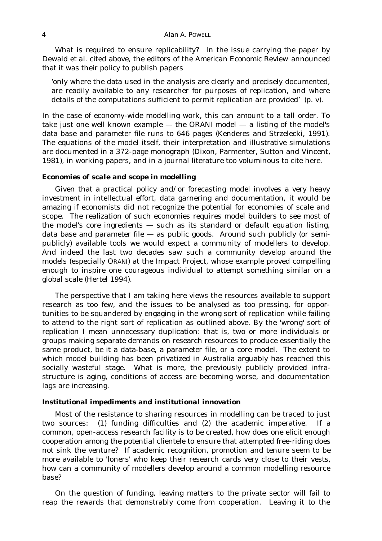What is required to ensure replicability? In the issue carrying the paper by Dewald *et al.* cited above, the editors of the *American Economic Review* announced that it was their policy to publish papers

'only where the data used in the analysis are clearly and precisely documented, are readily available to any researcher for purposes of replication, and where details of the computations sufficient to permit replication are provided' (p. v).

In the case of economy-wide modelling work, this can amount to a tall order. To take just one well known example  $-$  the ORANI model  $-$  a listing of the model's data base and parameter file runs to 646 pages (Kenderes and Strzelecki, 1991). The equations of the model itself, their interpretation and illustrative simulations are documented in a 372-page monograph (Dixon, Parmenter, Sutton and Vincent, 1981), in working papers, and in a journal literature too voluminous to cite here.

### *Economies of scale and scope in modelling*

Given that a practical policy and/or forecasting model involves a very heavy investment in intellectual effort, data garnering and documentation, it would be amazing if economists did not recognize the potential for economies of scale and scope. The realization of such economies requires model builders to see most of the model's core ingredients  $-$  such as its standard or default equation listing, data base and parameter file — as public goods. Around such publicly (or semipublicly) available tools we would expect a community of modellers to develop. And indeed the last two decades saw such a community develop around the models (especially ORANI) at the Impact Project, whose example proved compelling enough to inspire one courageous individual to attempt something similar on a global scale (Hertel 1994).

The perspective that I am taking here views the resources available to support research as too few, and the issues to be analysed as too pressing, for opportunities to be squandered by engaging in the wrong sort of replication while failing to attend to the right sort of replication as outlined above. By the 'wrong' sort of replication I mean unnecessary duplication: that is, two or more individuals or groups making separate demands on research resources to produce essentially the same product, be it a data-base, a parameter file, or a core model. The extent to which model building has been privatized in Australia arguably has reached this socially wasteful stage. What is more, the previously publicly provided infrastructure is aging, conditions of access are becoming worse, and documentation lags are increasing.

### *Institutional impediments and institutional innovation*

Most of the resistance to sharing resources in modelling can be traced to just two sources: (1) funding difficulties and (2) the academic imperative. If a common, open-access research facility is to be created, how does one elicit enough cooperation among the potential clientele to ensure that attempted free-riding does not sink the venture? If academic recognition, promotion and tenure seem to be more available to 'loners' who keep their research cards very close to their vests, how can a community of modellers develop around a common modelling resource base?

On the question of funding, leaving matters to the private sector will fail to reap the rewards that demonstrably come from cooperation. Leaving it to the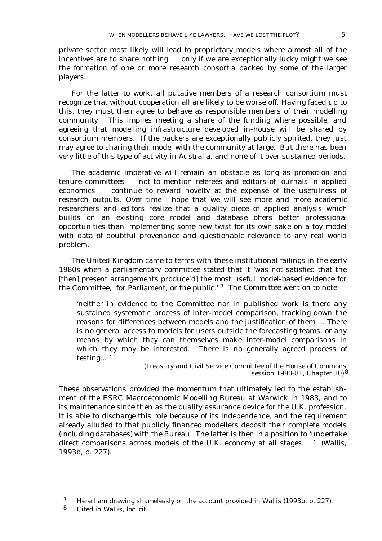private sector most likely will lead to proprietary models where almost all of the incentives are to share nothing  $-$  only if we are exceptionally lucky might we see the formation of one or more research consortia backed by some of the larger players.

For the latter to work, all putative members of a research consortium must recognize that without cooperation all are likely to be worse off. Having faced up to this, they must then agree to behave as responsible members of their modelling community. This implies meeting a share of the funding where possible, and agreeing that modelling infrastructure developed in-house will be shared by consortium members. If the backers are exceptionally publicly spirited, they just may agree to sharing their model with the community at large. But there has been very little of this type of activity in Australia, and none of it over sustained periods.

The academic imperative will remain an obstacle as long as promotion and  $t$ enure committees  $-$  not to mention referees and editors of journals in applied economics - continue to reward novelty at the expense of the usefulness of research outputs. Over time I hope that we will see more and more academic researchers and editors realize that a quality piece of applied analysis which builds on an existing core model and database offers better professional opportunities than implementing some new twist for its own sake on a toy model with data of doubtful provenance and questionable relevance to any real world problem.

The United Kingdom came to terms with these institutional failings in the early 1980s when a parliamentary committee stated that it 'was not satisfied that the [then] present arrangements produce[d] the most useful model-based evidence for the Committee, for Parliament, or the public.' 7 The Committee went on to note:

'neither in evidence to the Committee nor in published work is there any sustained systematic process of inter-model comparison, tracking down the reasons for differences between models and the justification of them ... There is no general access to models for users outside the forecasting teams, or any means by which they can themselves make inter-model comparisons in which they may be interested. There is no generally agreed process of testing... '

> (Treasury and Civil Service Committee of the House of Commons, session 1980-81, Chapter 10) 8

These observations provided the momentum that ultimately led to the establishment of the ESRC Macroeconomic Modelling Bureau at Warwick in 1983, and to its maintenance since then as the quality assurance device for the U.K. profession. It is able to discharge this role because of its independence, and the requirement already alluded to that publicly financed modellers deposit their complete models (including databases) with the Bureau. The latter is then in a position to 'undertake direct comparisons across models of the U.K. economy at all stages … ' (Wallis, 1993b, p. 227).

 <sup>7</sup> Here I am drawing shamelessly on the account provided in Wallis (1993b, p. 227).

<sup>8</sup> Cited in Wallis, *loc. cit.*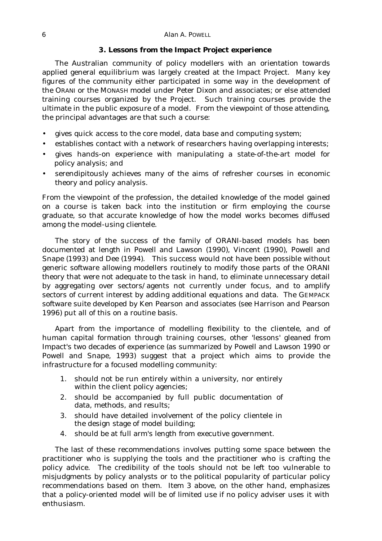### *3. Lessons from the Impact Project experience*

The Australian community of policy modellers with an orientation towards applied general equilibrium was largely created at the Impact Project. Many key figures of the community either participated in some way in the development of the ORANI or the MONASH model under Peter Dixon and associates; or else attended training courses organized by the Project. Such training courses provide the ultimate in the public exposure of a model. From the viewpoint of those attending, the principal advantages are that such a course:

- gives quick access to the core model, data base and computing system;
- establishes contact with a network of researchers having overlapping interests;
- gives hands-on experience with manipulating a state-of-the-art model for policy analysis; and
- serendipitously achieves many of the aims of refresher courses in economic theory and policy analysis.

From the viewpoint of the profession, the detailed knowledge of the model gained on a course is taken back into the institution or firm employing the course graduate, so that accurate knowledge of how the model works becomes diffused among the model-using clientele.

The story of the success of the family of ORANI-based models has been documented at length in Powell and Lawson (1990), Vincent (1990), Powell and Snape (1993) and Dee (1994). This success would not have been possible without generic software allowing modellers routinely to modify those parts of the ORANI theory that were not adequate to the task in hand, to eliminate unnecessary detail by aggregating over sectors/agents not currently under focus, and to amplify sectors of current interest by adding additional equations and data. The GEMPACK software suite developed by Ken Pearson and associates (see Harrison and Pearson 1996) put all of this on a routine basis.

Apart from the importance of modelling flexibility to the clientele, and of human capital formation through training courses, other 'lessons' gleaned from Impact's two decades of experience (as summarized by Powell and Lawson 1990 or Powell and Snape, 1993) suggest that a project which aims to provide the infrastructure for a focused modelling community:

- 1. should not be run entirely within a university, nor entirely within the client policy agencies;
- 2. should be accompanied by full public documentation of data, methods, and results;
- 3. should have detailed involvement of the policy clientele in the design stage of model building;
- 4. should be at full arm's length from executive government.

The last of these recommendations involves putting some space between the practitioner who is supplying the tools and the practitioner who is crafting the policy advice. The credibility of the tools should not be left too vulnerable to misjudgments by policy analysts or to the political popularity of particular policy recommendations based on them. Item 3 above, on the other hand, emphasizes that a policy-oriented model will be of limited use if no policy adviser uses it with enthusiasm.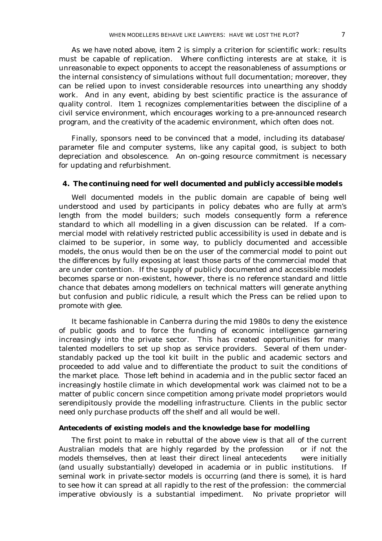As we have noted above, item 2 is simply a criterion for scientific work: results must be capable of replication. Where conflicting interests are at stake, it is unreasonable to expect opponents to accept the reasonableness of assumptions or the internal consistency of simulations without full documentation; moreover, they can be relied upon to invest considerable resources into unearthing any shoddy work. And in any event, abiding by best scientific practice is the assurance of quality control. Item 1 recognizes complementarities between the discipline of a civil service environment, which encourages working to a pre-announced research program, and the creativity of the academic environment, which often does not.

Finally, sponsors need to be convinced that a model, including its database/ parameter file and computer systems, like any capital good, is subject to both depreciation and obsolescence. An on-going resource commitment is necessary for updating and refurbishment.

### *4. The continuing need for well documented and publicly accessible models*

Well documented models in the public domain are capable of being well understood and used by participants in policy debates who are fully at arm's length from the model builders; such models consequently form a reference standard to which all modelling in a given discussion can be related. If a commercial model with relatively restricted public accessibility is used in debate and is claimed to be superior, in some way, to publicly documented and accessible models, the onus would then be on the user of the commercial model to point out the differences by fully exposing at least those parts of the commercial model that are under contention. If the supply of publicly documented and accessible models becomes sparse or non-existent, however, there is no reference standard and little chance that debates among modellers on technical matters will generate anything but confusion and public ridicule, a result which the Press can be relied upon to promote with glee.

It became fashionable in Canberra during the mid 1980s to deny the existence of public goods and to force the funding of economic intelligence garnering increasingly into the private sector. This has created opportunities for many talented modellers to set up shop as service providers. Several of them understandably packed up the tool kit built in the public and academic sectors and proceeded to add value and to differentiate the product to suit the conditions of the market place. Those left behind in academia and in the public sector faced an increasingly hostile climate in which developmental work was claimed not to be a matter of public concern since competition among private model proprietors would serendipitously provide the modelling infrastructure. Clients in the public sector need only purchase products off the shelf and all would be well.

### *Antecedents of existing models and the knowledge base for modelling*

The first point to make in rebuttal of the above view is that *all* of the current Australian models that are highly regarded by the profession  $-$  or if not the models themselves, then at least their direct lineal antecedents — were initially (and usually substantially) developed in academia or in public institutions. If seminal work in private-sector models is occurring (and there is some), it is hard to see how it can spread at all rapidly to the rest of the profession: the commercial imperative obviously is a substantial impediment. No private proprietor will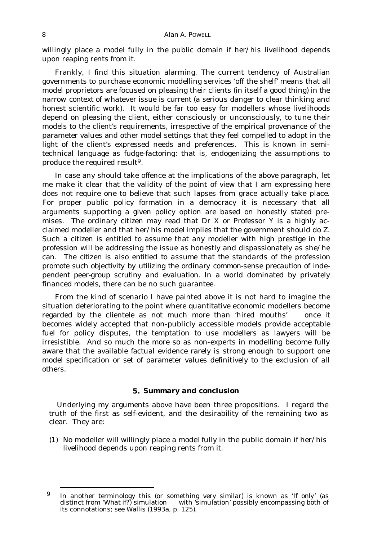willingly place a model fully in the public domain if her/his livelihood depends upon reaping rents from it.

Frankly, I find this situation alarming. The current tendency of Australian governments to purchase economic modelling services 'off the shelf' means that all model proprietors are focused on pleasing their clients (in itself a good thing) *in the narrow context of whatever issue is current* (a serious danger to clear thinking and honest scientific work)*.* It would be far too easy for modellers whose livelihoods depend on pleasing the client, either consciously or unconsciously, to tune their models to the client's requirements, *irrespective of the empirical provenance* of the parameter values and other model settings that they feel compelled to adopt in the light of the client's expressed needs and preferences. This is known in semitechnical language as *fudge-factoring*: that is, endogenizing the assumptions to produce the required result9.

In case any should take offence at the implications of the above paragraph, let me make it clear that the validity of the point of view that I am expressing here does not require one to believe that such lapses from grace actually take place. For proper public policy formation in a democracy it is necessary that all arguments supporting a given policy option are based on honestly stated premises. The ordinary citizen may read that Dr X or Professor Y is a highly acclaimed modeller and that her/his model implies that the government should do Z. Such a citizen is entitled to assume that any modeller with high prestige in the profession will be addressing the issue as honestly and dispassionately as she/he can. *The citizen is also entitled to assume that the standards of the profession promote such objectivity by utilizing the ordinary common-sense precaution of independent peer-group scrutiny and evaluation.* In a world dominated by privately financed models, there can be no such guarantee.

From the kind of scenario I have painted above it is not hard to imagine the situation deteriorating to the point where quantitative economic modellers become regarded by the clientele as not much more than 'hired mouths'  $-$  once it becomes widely accepted that non-publicly accessible models provide acceptable fuel for policy disputes, the temptation to use modellers as lawyers will be irresistible. And so much the more so as non-experts in modelling become fully aware that the available factual evidence rarely is strong enough to support one model specification or set of parameter values definitively to the exclusion of all others.

### *5. Summary and conclusion*

Underlying my arguments above have been three propositions. I regard the truth of the first as self-evident, and the desirability of the remaining two as clear. They are:

(1) No modeller will willingly place a model fully in the public domain if her/his livelihood depends upon reaping rents from it.

 <sup>9</sup> In another terminology this (or something very similar) is known as *'If only'* (as distinct from *'What if?*) simulation — with 'simulation' possibly encompassing both of its connotations; see Wallis (1993a, p. 125).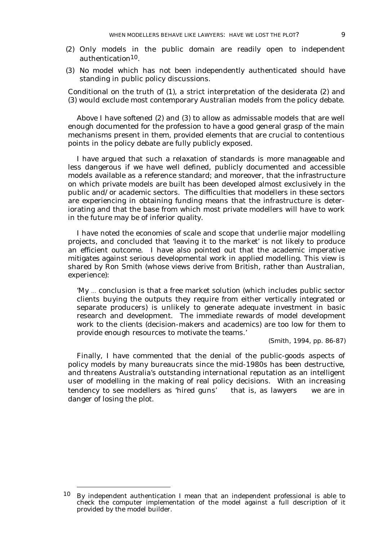- 
- (2) Only models in the public domain are readily open to independent authentication10.
- (3) No model which has not been independently authenticated should have standing in public policy discussions.

Conditional on the truth of (1), a strict interpretation of the desiderata (2) and (3) would exclude most contemporary Australian models from the policy debate.

Above I have softened (2) and (3) to allow as admissable models that are well enough documented for the profession to have a good general grasp of the main mechanisms present in them, provided elements that are crucial to contentious points in the policy debate are fully publicly exposed.

I have argued that such a relaxation of standards is more manageable and less dangerous if we have well defined, publicly documented and accessible models available as a reference standard; and moreover, that the infrastructure on which private models are built has been developed almost exclusively in the public and/or academic sectors. The difficulties that modellers in these sectors are experiencing in obtaining funding means that the infrastructure is deteriorating and that the base from which most private modellers will have to work in the future may be of inferior quality.

I have noted the economies of scale and scope that underlie major modelling projects, and concluded that 'leaving it to the market' is not likely to produce an efficient outcome. I have also pointed out that the academic imperative mitigates against serious developmental work in applied modelling. This view is shared by Ron Smith (whose views derive from British, rather than Australian, experience):

'My … conclusion is that a free market solution (which includes public sector clients buying the outputs they require from either vertically integrated or separate producers) is unlikely to generate adequate investment in basic research and development. The immediate rewards of model development work to the clients (decision-makers and academics) are too low for them to provide enough resources to motivate the teams.'

(Smith, 1994, pp. 86-87)

Finally, I have commented that the denial of the public-goods aspects of policy models by many bureaucrats since the mid-1980s has been destructive, and threatens Australia's outstanding international reputation as an intelligent user of modelling in the making of real policy decisions. With an increasing tendency to see modellers as 'hired guns'  $-$  that is, as lawyers  $-$  we are in danger of losing the plot.

 <sup>10</sup> By independent authentication I mean that an independent professional is able to check the computer implementation of the model against a full description of it provided by the model builder.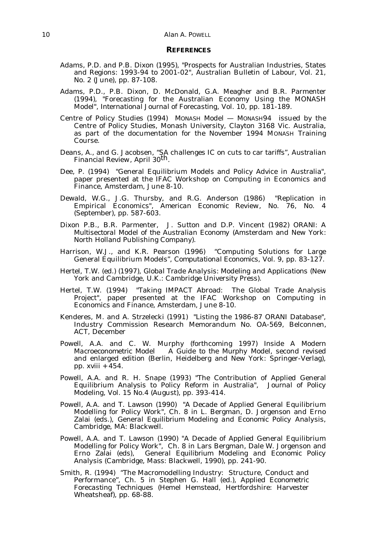### *REFERENCES*

- Adams, P.D. and P.B. Dixon (1995), "Prospects for Australian Industries, States and Regions: 1993-94 to 2001-02", Australian Bulletin of *Labour*, Vol. 21, No. 2 (June), pp. 87-108.
- Adams, P.D., P.B. Dixon, D. McDonald, G.A. Meagher and B.R. Parmenter (1994), "Forecasting for the Australian Economy Using the MONASH Model", *International Journal of Forecasting*, Vol. 10, pp. 181-189.
- Centre of Policy Studies (1994) *MONASH Model MONASH94* issued by the Centre of Policy Studies, Monash University, Clayton 3168 Vic. Australia, as part of the documentation for the November 1994 MONASH Training Course.
- Deans, A., and G. Jacobsen, "SA challenges IC on cuts to car tariffs", *Australian Financial Review*, April 30th.
- Dee, P. (1994) "General Equilibrium Models and Policy Advice in Australia", paper presented at the IFAC Workshop on Computing in Economics and Finance, Amsterdam, June 8-10.
- Dewald, W.G., J.G. Thursby, and R.G. Anderson (1986) "Replication in Empirical Economics", *American Economic Review*, No. 76, No. 4 (September), pp. 587-603.
- Dixon P.B., B.R. Parmenter, J. Sutton and D.P. Vincent (1982) *ORANI: A Multisectoral Model of the Australian Economy* (Amsterdam and New York: North Holland Publishing Company).
- Harrison, W.J., and K.R. Pearson (1996) "Computing Solutions for Large General Equilibrium Models", *Computational Economics*, Vol. 9, pp. 83-127.
- Hertel, T.W. (ed.) (1997), *Global Trade Analysis: Modeling and Applications* (New York and Cambridge, U.K.: Cambridge University Press).
- Hertel, T.W. (1994) "Taking IMPACT Abroad: The Global Trade Analysis Project", paper presented at the IFAC Workshop on Computing in Economics and Finance, Amsterdam, June 8-10.
- Kenderes, M. and A. Strzelecki (1991) "Listing the 1986-87 ORANI Database", Industry Commission Research Memorandum No. OA-569, Belconnen, ACT, December
- Powell, A.A. and C. W. Murphy (forthcoming 1997) *Inside A Modern Macroeconometric Model*  $-\overline{A}$  *Guide to the Murphy Model, second revised* and enlarged edition (Berlin, Heidelberg and New York: Springer-Verlag), pp. xviii + 454.
- Powell, A.A. and R. H. Snape (1993) "The Contribution of Applied General Equilibrium Analysis to Policy Reform in Australia", *Journal of Policy Modeling*, Vol. 15 No.4 (August), pp. 393-414.
- Powell, A.A. and T. Lawson (1990) "A Decade of Applied General Equilibrium Modelling for Policy Work", Ch. 8 in L. Bergman, D. Jorgenson and Erno Zalai (eds.), *General Equilibrium Modeling and Economic Policy Analysis*, Cambridge, MA: Blackwell.
- Powell, A.A. and T. Lawson (1990) "A Decade of Applied General Equilibrium Modelling for Policy Work", Ch. 8 in Lars Bergman, Dale W. Jorgenson and Erno Zalai (eds), *General Equilibrium Modeling and Economic Policy Analysis* (Cambridge, Mass: Blackwell, 1990), pp. 241-90.
- Smith, R. (1994) "The Macromodelling Industry: Structure, Conduct and Performance", Ch. 5 in Stephen G. Hall (ed.), *Applied Econometric Forecasting Techniques* (Hemel Hemstead, Hertfordshire: Harvester Wheatsheaf), pp. 68-88.